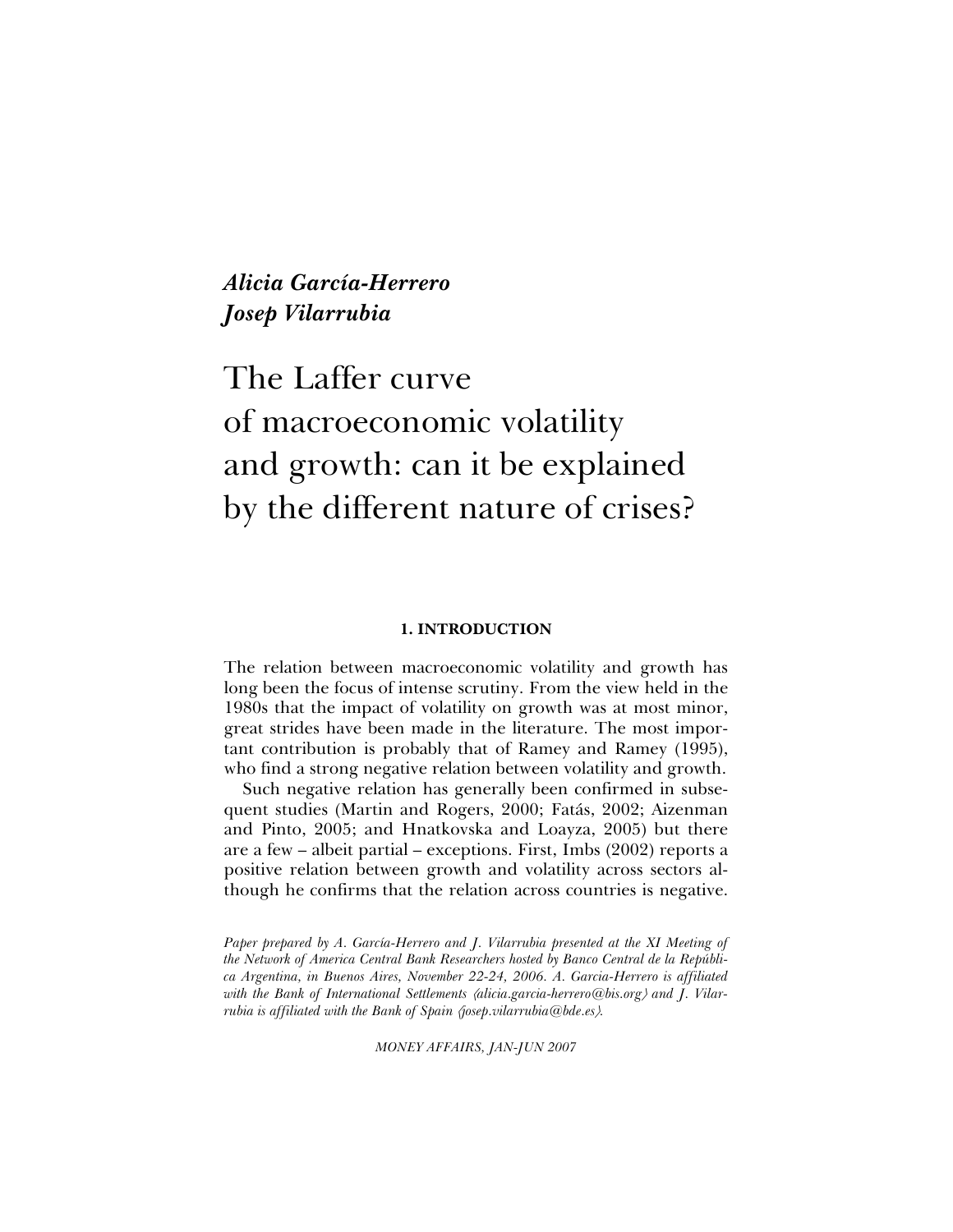*Alicia García-Herrero Josep Vilarrubia* 

# The Laffer curve of macroeconomic volatility and growth: can it be explained by the different nature of crises?

# **1. INTRODUCTION**

The relation between macroeconomic volatility and growth has long been the focus of intense scrutiny. From the view held in the 1980s that the impact of volatility on growth was at most minor, great strides have been made in the literature. The most important contribution is probably that of Ramey and Ramey (1995), who find a strong negative relation between volatility and growth.

Such negative relation has generally been confirmed in subsequent studies (Martin and Rogers, 2000; Fatás, 2002; Aizenman and Pinto, 2005; and Hnatkovska and Loayza, 2005) but there are a few – albeit partial – exceptions. First, Imbs (2002) reports a positive relation between growth and volatility across sectors although he confirms that the relation across countries is negative.

*Paper prepared by A. García-Herrero and J. Vilarrubia presented at the XI Meeting of the Network of America Central Bank Researchers hosted by Banco Central de la República Argentina, in Buenos Aires, November 22-24, 2006. A. Garcia-Herrero is affiliated with the Bank of International Settlements* 〈*alicia.garcia-herrero@bis.org*〉 *and J. Vilarrubia is affiliated with the Bank of Spain (josep.vilarrubia@bde.es).* 

*MONEY AFFAIRS, JAN-JUN 2007*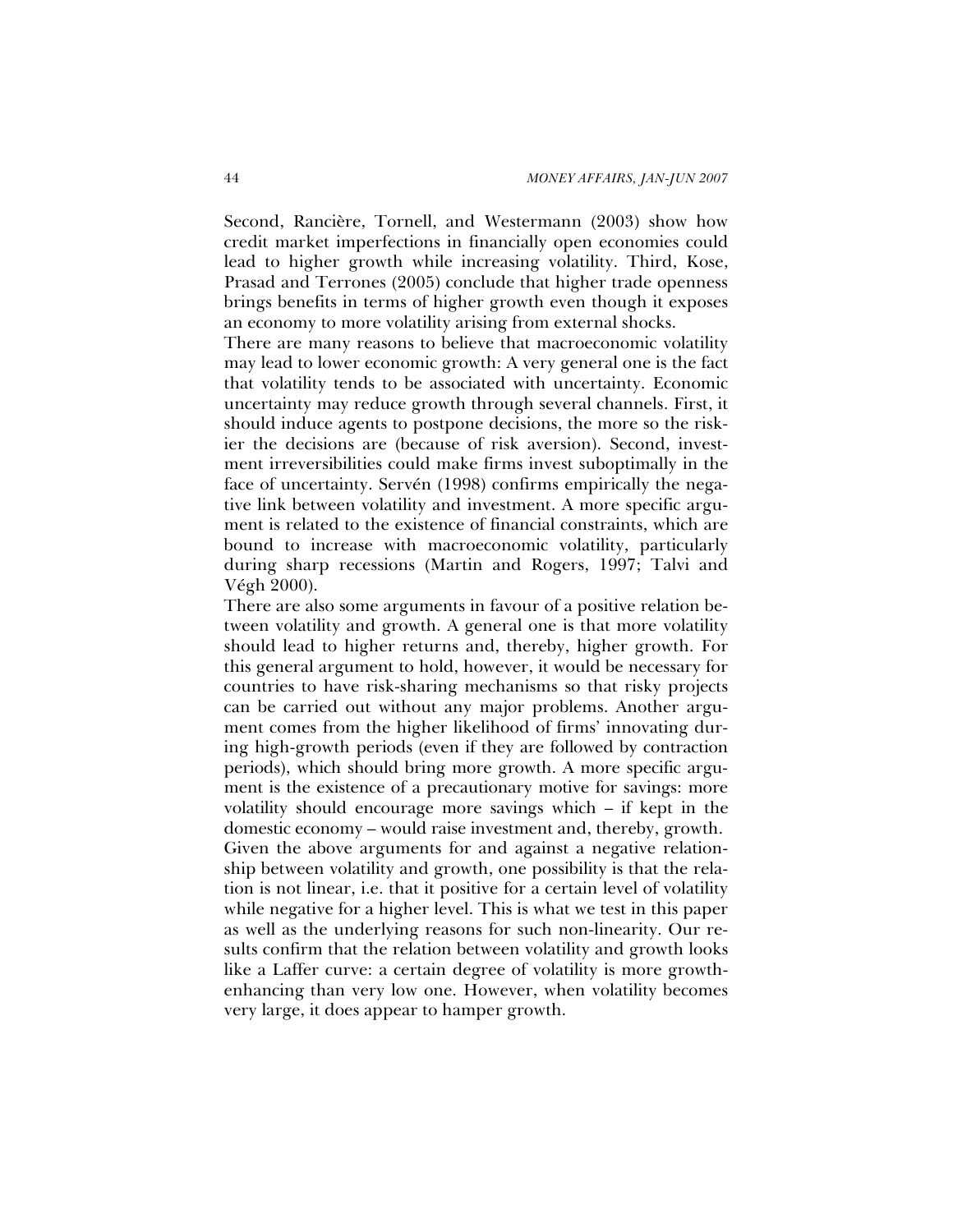Second, Rancière, Tornell, and Westermann (2003) show how credit market imperfections in financially open economies could lead to higher growth while increasing volatility. Third, Kose, Prasad and Terrones (2005) conclude that higher trade openness brings benefits in terms of higher growth even though it exposes an economy to more volatility arising from external shocks.

There are many reasons to believe that macroeconomic volatility may lead to lower economic growth: A very general one is the fact that volatility tends to be associated with uncertainty. Economic uncertainty may reduce growth through several channels. First, it should induce agents to postpone decisions, the more so the riskier the decisions are (because of risk aversion). Second, investment irreversibilities could make firms invest suboptimally in the face of uncertainty. Servén (1998) confirms empirically the negative link between volatility and investment. A more specific argument is related to the existence of financial constraints, which are bound to increase with macroeconomic volatility, particularly during sharp recessions (Martin and Rogers, 1997; Talvi and Végh 2000).

There are also some arguments in favour of a positive relation between volatility and growth. A general one is that more volatility should lead to higher returns and, thereby, higher growth. For this general argument to hold, however, it would be necessary for countries to have risk-sharing mechanisms so that risky projects can be carried out without any major problems. Another argument comes from the higher likelihood of firms' innovating during high-growth periods (even if they are followed by contraction periods), which should bring more growth. A more specific argument is the existence of a precautionary motive for savings: more volatility should encourage more savings which – if kept in the domestic economy – would raise investment and, thereby, growth. Given the above arguments for and against a negative relationship between volatility and growth, one possibility is that the relation is not linear, i.e. that it positive for a certain level of volatility while negative for a higher level. This is what we test in this paper as well as the underlying reasons for such non-linearity. Our results confirm that the relation between volatility and growth looks like a Laffer curve: a certain degree of volatility is more growthenhancing than very low one. However, when volatility becomes very large, it does appear to hamper growth.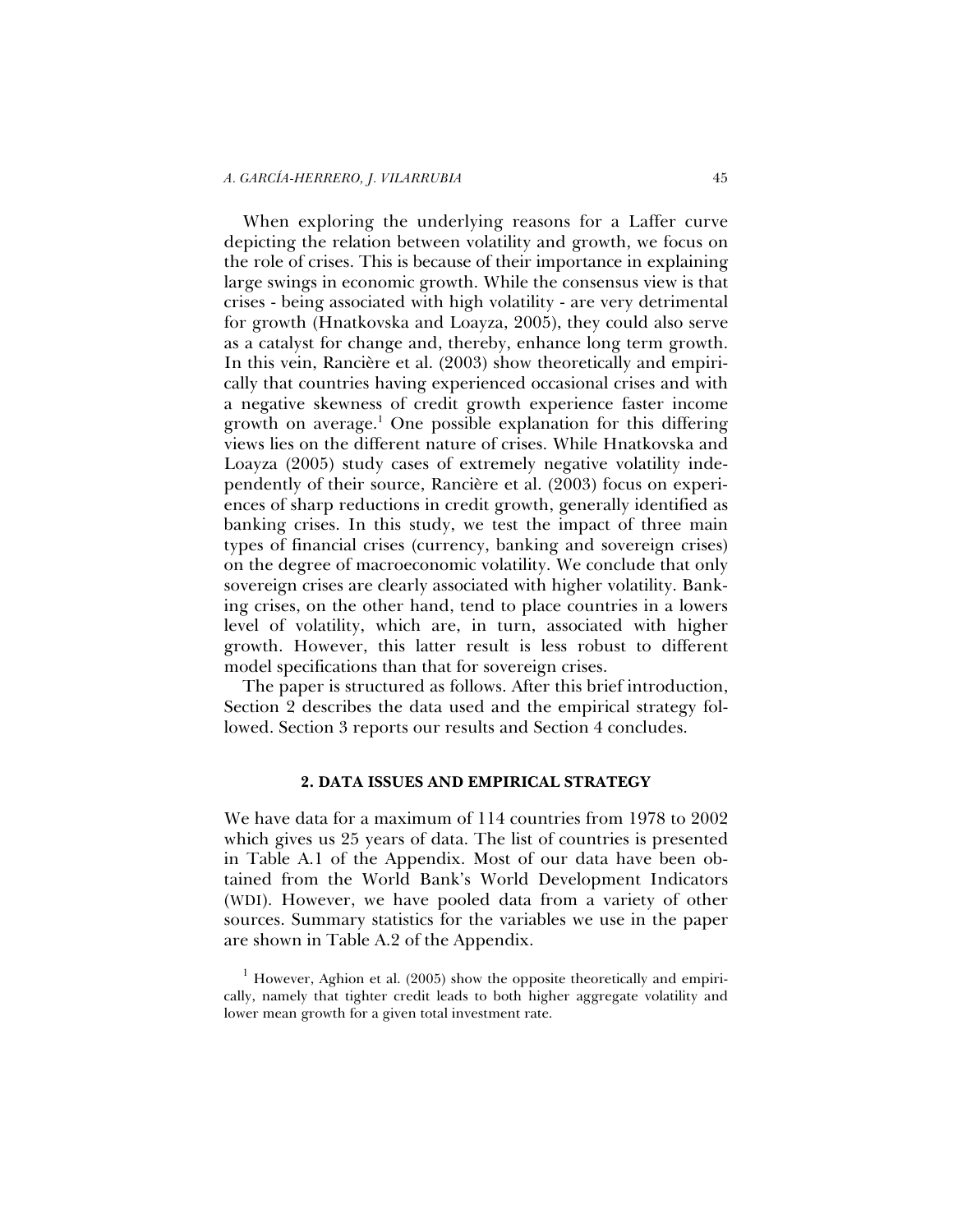When exploring the underlying reasons for a Laffer curve depicting the relation between volatility and growth, we focus on the role of crises. This is because of their importance in explaining large swings in economic growth. While the consensus view is that crises - being associated with high volatility - are very detrimental for growth (Hnatkovska and Loayza, 2005), they could also serve as a catalyst for change and, thereby, enhance long term growth. In this vein, Rancière et al. (2003) show theoretically and empirically that countries having experienced occasional crises and with a negative skewness of credit growth experience faster income growth on average.<sup>1</sup> One possible explanation for this differing views lies on the different nature of crises. While Hnatkovska and Loayza (2005) study cases of extremely negative volatility independently of their source, Rancière et al. (2003) focus on experiences of sharp reductions in credit growth, generally identified as banking crises. In this study, we test the impact of three main types of financial crises (currency, banking and sovereign crises) on the degree of macroeconomic volatility. We conclude that only sovereign crises are clearly associated with higher volatility. Banking crises, on the other hand, tend to place countries in a lowers level of volatility, which are, in turn, associated with higher growth. However, this latter result is less robust to different model specifications than that for sovereign crises.

The paper is structured as follows. After this brief introduction, Section 2 describes the data used and the empirical strategy followed. Section 3 reports our results and Section 4 concludes.

# **2. DATA ISSUES AND EMPIRICAL STRATEGY**

We have data for a maximum of 114 countries from 1978 to 2002 which gives us 25 years of data. The list of countries is presented in Table A.1 of the Appendix. Most of our data have been obtained from the World Bank's World Development Indicators (WDI). However, we have pooled data from a variety of other sources. Summary statistics for the variables we use in the paper are shown in Table A.2 of the Appendix.

 $1$  However, Aghion et al. (2005) show the opposite theoretically and empirically, namely that tighter credit leads to both higher aggregate volatility and lower mean growth for a given total investment rate.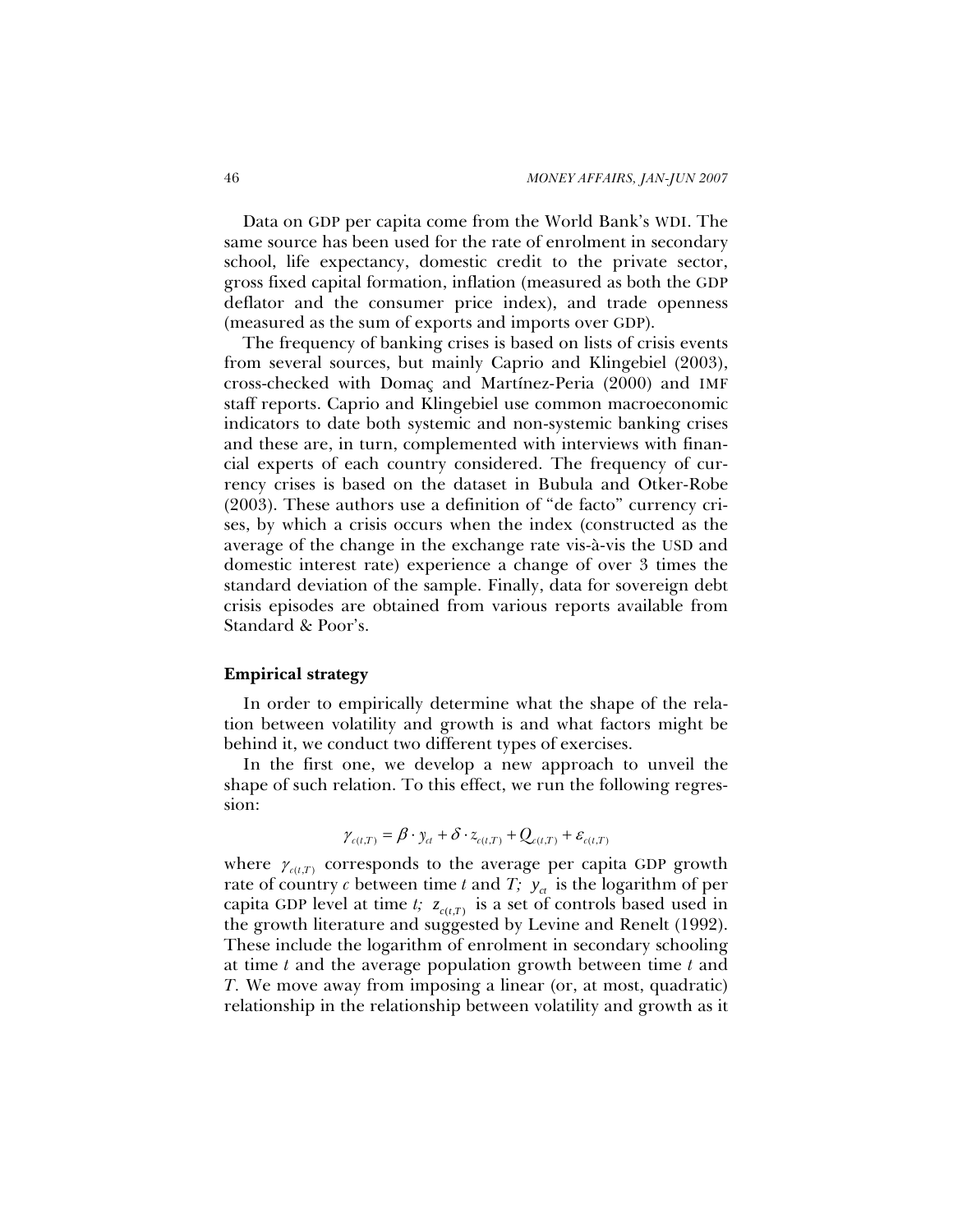Data on GDP per capita come from the World Bank's WDI. The same source has been used for the rate of enrolment in secondary school, life expectancy, domestic credit to the private sector, gross fixed capital formation, inflation (measured as both the GDP deflator and the consumer price index), and trade openness (measured as the sum of exports and imports over GDP).

The frequency of banking crises is based on lists of crisis events from several sources, but mainly Caprio and Klingebiel (2003), cross-checked with Domaç and Martínez-Peria (2000) and IMF staff reports. Caprio and Klingebiel use common macroeconomic indicators to date both systemic and non-systemic banking crises and these are, in turn, complemented with interviews with financial experts of each country considered. The frequency of currency crises is based on the dataset in Bubula and Otker-Robe (2003). These authors use a definition of "de facto" currency crises, by which a crisis occurs when the index (constructed as the average of the change in the exchange rate vis-à-vis the USD and domestic interest rate) experience a change of over 3 times the standard deviation of the sample. Finally, data for sovereign debt crisis episodes are obtained from various reports available from Standard & Poor's.

# **Empirical strategy**

In order to empirically determine what the shape of the relation between volatility and growth is and what factors might be behind it, we conduct two different types of exercises.

In the first one, we develop a new approach to unveil the shape of such relation. To this effect, we run the following regression:

$$
\gamma_{c(t,T)} = \beta \cdot y_{ct} + \delta \cdot z_{c(t,T)} + Q_{c(t,T)} + \varepsilon_{c(t,T)}
$$

where  $\gamma_{c(t,T)}$  corresponds to the average per capita GDP growth rate of country  $c$  between time  $t$  and  $T$ ;  $y_{ct}$  is the logarithm of per capita GDP level at time *t*;  $z_{c(t,T)}$  is a set of controls based used in the growth literature and suggested by Levine and Renelt (1992). These include the logarithm of enrolment in secondary schooling at time *t* and the average population growth between time *t* and *T.* We move away from imposing a linear (or, at most, quadratic) relationship in the relationship between volatility and growth as it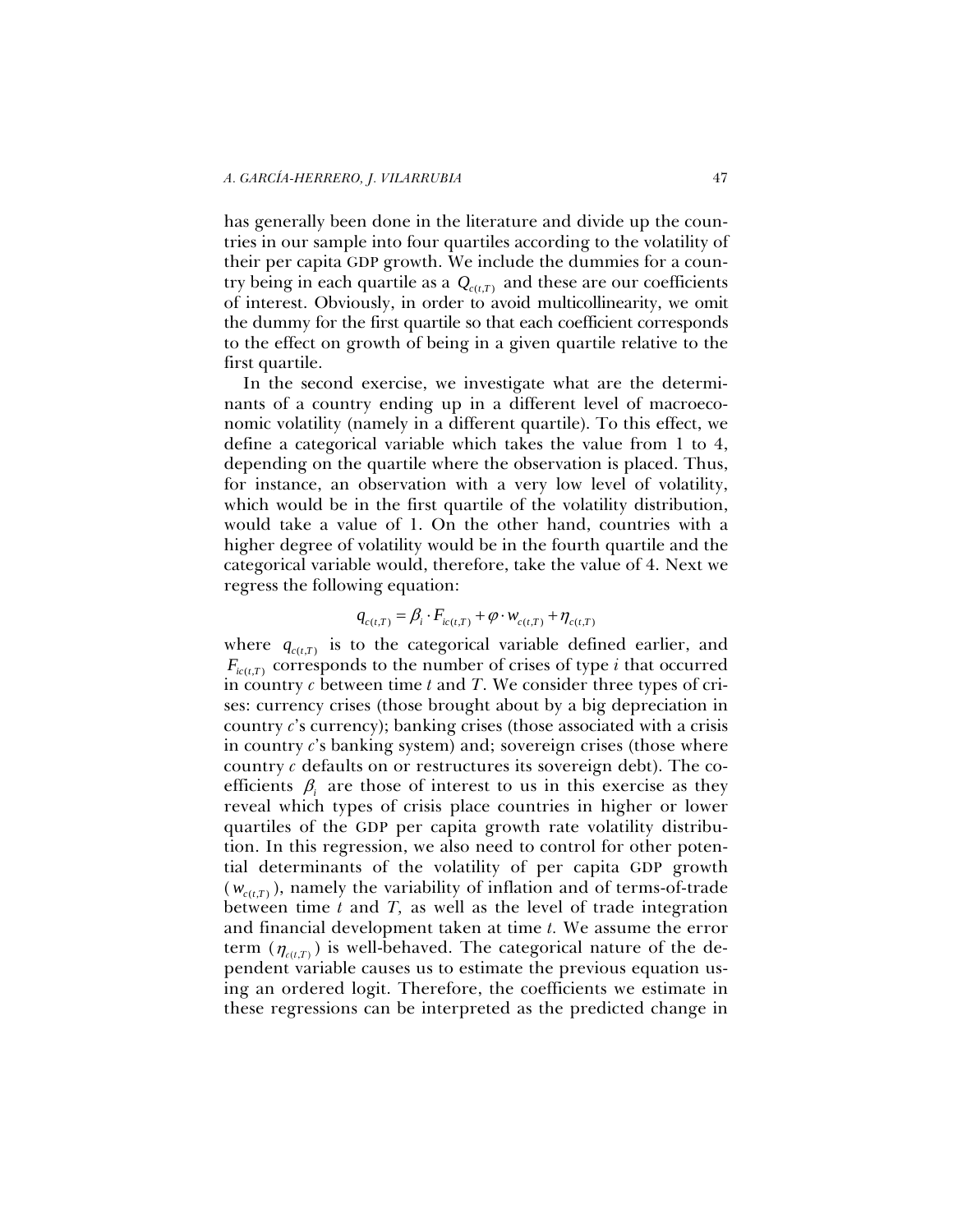has generally been done in the literature and divide up the countries in our sample into four quartiles according to the volatility of their per capita GDP growth. We include the dummies for a country being in each quartile as a  $Q_{\text{c}(t,T)}$  and these are our coefficients of interest. Obviously, in order to avoid multicollinearity, we omit the dummy for the first quartile so that each coefficient corresponds to the effect on growth of being in a given quartile relative to the first quartile.

In the second exercise, we investigate what are the determinants of a country ending up in a different level of macroeconomic volatility (namely in a different quartile). To this effect, we define a categorical variable which takes the value from 1 to 4, depending on the quartile where the observation is placed. Thus, for instance, an observation with a very low level of volatility, which would be in the first quartile of the volatility distribution, would take a value of 1. On the other hand, countries with a higher degree of volatility would be in the fourth quartile and the categorical variable would, therefore, take the value of 4. Next we regress the following equation:

$$
q_{c(t,T)} = \beta_i \cdot F_{ic(t,T)} + \varphi \cdot w_{c(t,T)} + \eta_{c(t,T)}
$$

where  $q_{c(t,T)}$  is to the categorical variable defined earlier, and  $F_{i(t,T)}$  corresponds to the number of crises of type *i* that occurred in country *c* between time *t* and *T*. We consider three types of crises: currency crises (those brought about by a big depreciation in country *c*'s currency); banking crises (those associated with a crisis in country *c*'s banking system) and; sovereign crises (those where country *c* defaults on or restructures its sovereign debt). The coefficients  $\beta_i$  are those of interest to us in this exercise as they reveal which types of crisis place countries in higher or lower quartiles of the GDP per capita growth rate volatility distribution. In this regression, we also need to control for other potential determinants of the volatility of per capita GDP growth  $(w_{c(t,T)})$ , namely the variability of inflation and of terms-of-trade between time *t* and *T,* as well as the level of trade integration and financial development taken at time *t.* We assume the error term  $(\eta_{c(t,T)})$  is well-behaved. The categorical nature of the dependent variable causes us to estimate the previous equation using an ordered logit. Therefore, the coefficients we estimate in these regressions can be interpreted as the predicted change in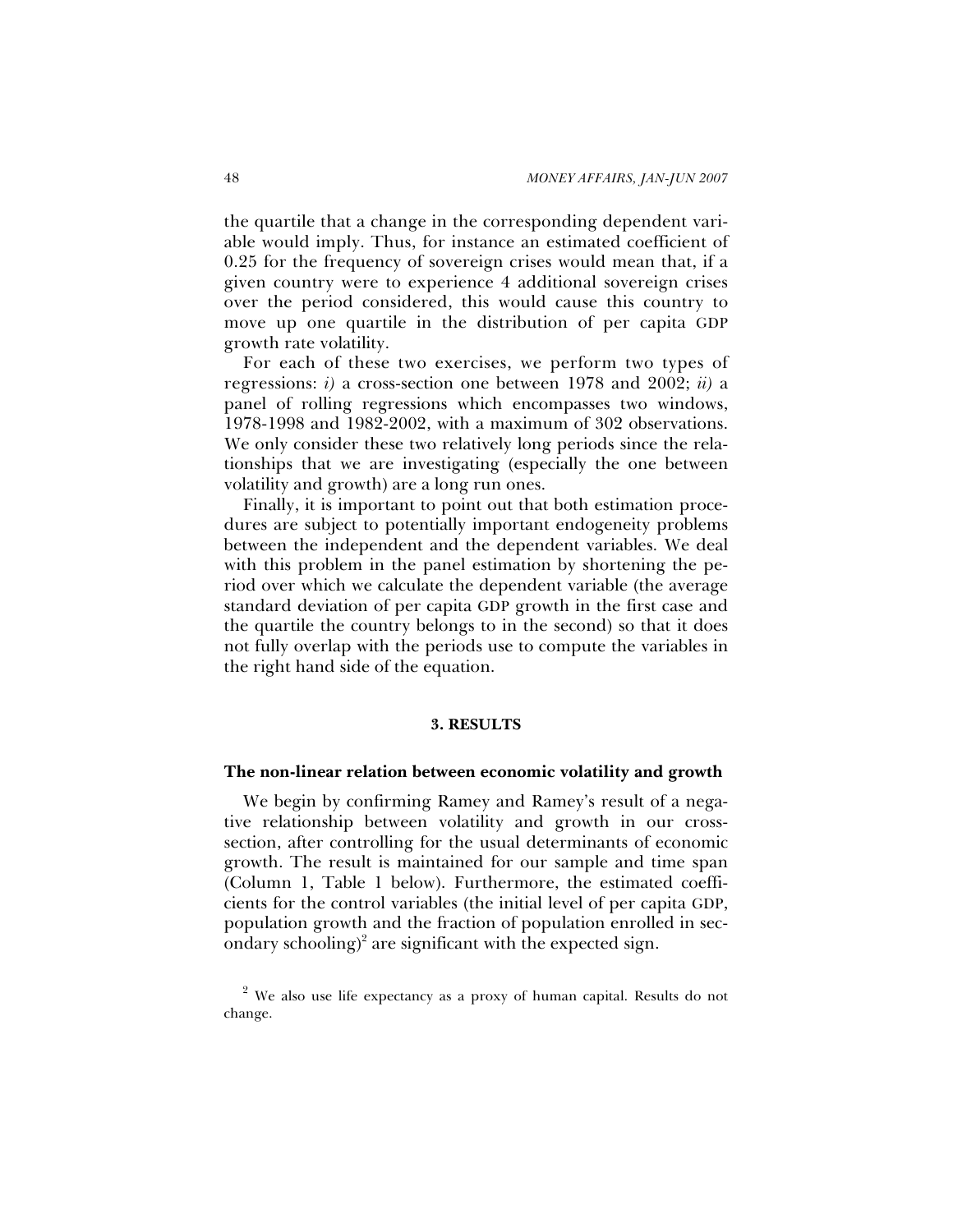the quartile that a change in the corresponding dependent variable would imply. Thus, for instance an estimated coefficient of 0.25 for the frequency of sovereign crises would mean that, if a given country were to experience 4 additional sovereign crises over the period considered, this would cause this country to move up one quartile in the distribution of per capita GDP growth rate volatility.

For each of these two exercises, we perform two types of regressions: *i)* a cross-section one between 1978 and 2002; *ii)* a panel of rolling regressions which encompasses two windows, 1978-1998 and 1982-2002, with a maximum of 302 observations. We only consider these two relatively long periods since the relationships that we are investigating (especially the one between volatility and growth) are a long run ones.

Finally, it is important to point out that both estimation procedures are subject to potentially important endogeneity problems between the independent and the dependent variables. We deal with this problem in the panel estimation by shortening the period over which we calculate the dependent variable (the average standard deviation of per capita GDP growth in the first case and the quartile the country belongs to in the second) so that it does not fully overlap with the periods use to compute the variables in the right hand side of the equation.

#### **3. RESULTS**

#### **The non-linear relation between economic volatility and growth**

We begin by confirming Ramey and Ramey's result of a negative relationship between volatility and growth in our crosssection, after controlling for the usual determinants of economic growth. The result is maintained for our sample and time span (Column 1, Table 1 below). Furthermore, the estimated coefficients for the control variables (the initial level of per capita GDP, population growth and the fraction of population enrolled in secondary schooling)<sup>2</sup> are significant with the expected sign.

 $2$  We also use life expectancy as a proxy of human capital. Results do not change.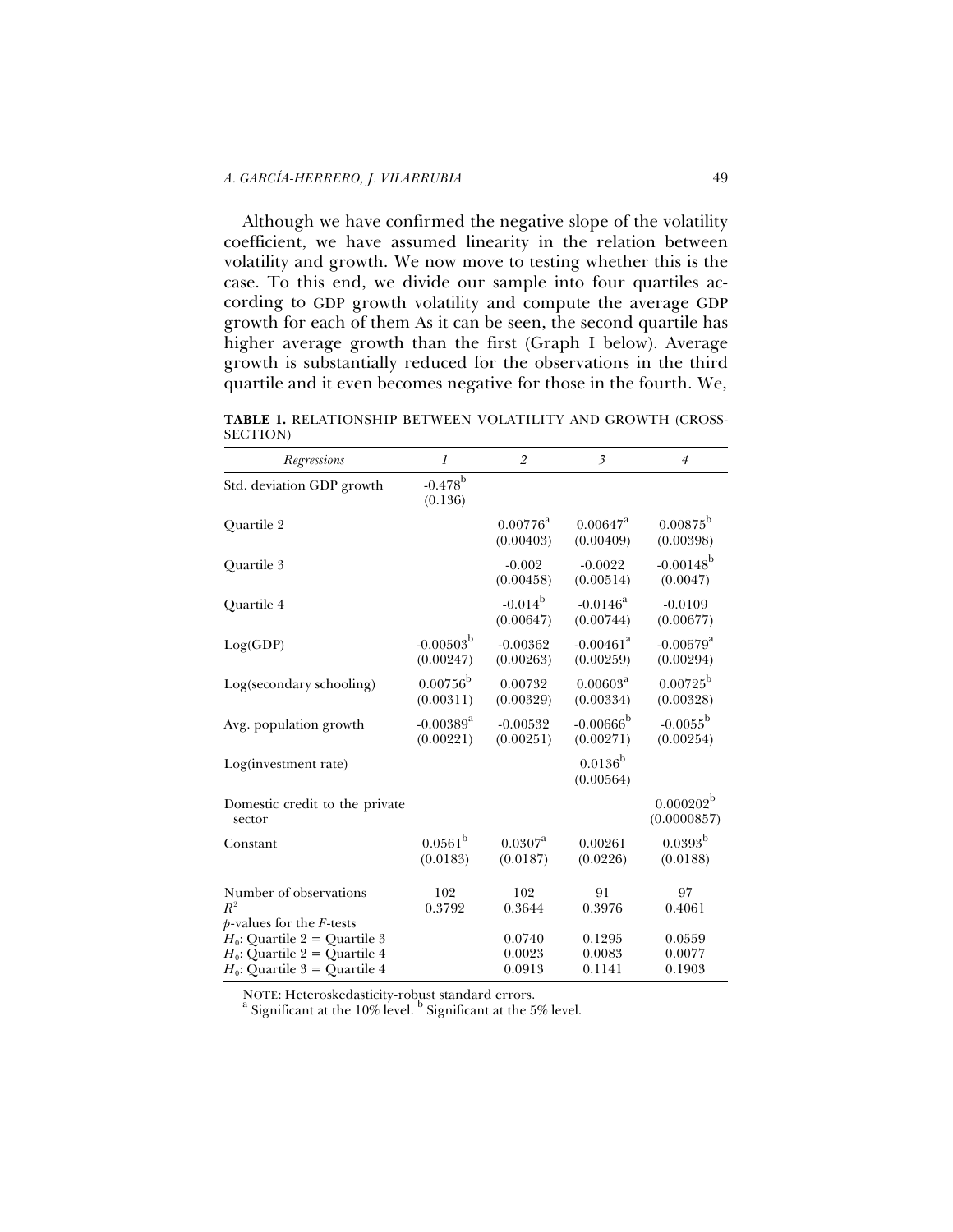Although we have confirmed the negative slope of the volatility coefficient, we have assumed linearity in the relation between volatility and growth. We now move to testing whether this is the case. To this end, we divide our sample into four quartiles according to GDP growth volatility and compute the average GDP growth for each of them As it can be seen, the second quartile has higher average growth than the first (Graph I below). Average growth is substantially reduced for the observations in the third quartile and it even becomes negative for those in the fourth. We,

**TABLE 1.** RELATIONSHIP BETWEEN VOLATILITY AND GROWTH (CROSS-SECTION)

| Regressions                                                                                           | 1                                    | $\overline{2}$                 | $\overline{\mathbf{3}}$              | $\overline{4}$                       |
|-------------------------------------------------------------------------------------------------------|--------------------------------------|--------------------------------|--------------------------------------|--------------------------------------|
| Std. deviation GDP growth                                                                             | $-0.478^{\rm b}$<br>(0.136)          |                                |                                      |                                      |
| Quartile 2                                                                                            |                                      | $0.00776^{\rm a}$<br>(0.00403) | $0.00647^{\rm a}$<br>(0.00409)       | $0.00875^{\rm b}$<br>(0.00398)       |
| Quartile 3                                                                                            |                                      | $-0.002$<br>(0.00458)          | $-0.0022$<br>(0.00514)               | $-0.00148^{b}$<br>(0.0047)           |
| Quartile 4                                                                                            |                                      | $-0.014^{\rm b}$<br>(0.00647)  | $-0.0146^{\rm a}$<br>(0.00744)       | $-0.0109$<br>(0.00677)               |
| Log(GDP)                                                                                              | $-0.00503^{\rm b}$<br>(0.00247)      | $-0.00362$<br>(0.00263)        | $-0.00461$ <sup>a</sup><br>(0.00259) | $-0.00579$ <sup>a</sup><br>(0.00294) |
| Log(secondary schooling)                                                                              | $0.00756^{\rm b}$<br>(0.00311)       | 0.00732<br>(0.00329)           | $0.00603^{\rm a}$<br>(0.00334)       | $0.00725^{\rm b}$<br>(0.00328)       |
| Avg. population growth                                                                                | $-0.00389$ <sup>a</sup><br>(0.00221) | $-0.00532$<br>(0.00251)        | $-0.00666^{b}$<br>(0.00271)          | $-0.0055^{\rm b}$<br>(0.00254)       |
| Log(investment rate)                                                                                  |                                      |                                | $0.0136^{\rm b}$<br>(0.00564)        |                                      |
| Domestic credit to the private<br>sector                                                              |                                      |                                |                                      | $0.000202^{\rm b}$<br>(0.0000857)    |
| Constant                                                                                              | $0.0561^{\rm b}$<br>(0.0183)         | $0.0307^{\rm a}$<br>(0.0187)   | 0.00261<br>(0.0226)                  | $0.0393^{b}$<br>(0.0188)             |
| Number of observations<br>$R^2$<br>$p$ -values for the <i>F</i> -tests                                | 102<br>0.3792                        | 102<br>0.3644                  | 91<br>0.3976                         | 97<br>0.4061                         |
| $H_0$ : Quartile 2 = Quartile 3<br>$H_0$ : Quartile 2 = Quartile 4<br>$H_0$ : Quartile 3 = Quartile 4 |                                      | 0.0740<br>0.0023<br>0.0913     | 0.1295<br>0.0083<br>0.1141           | 0.0559<br>0.0077<br>0.1903           |

NOTE: Heteroskedasticity-robust standard errors.<br><sup>a</sup> Significant at the 10% level. <sup>b</sup> Significant at the 5% level.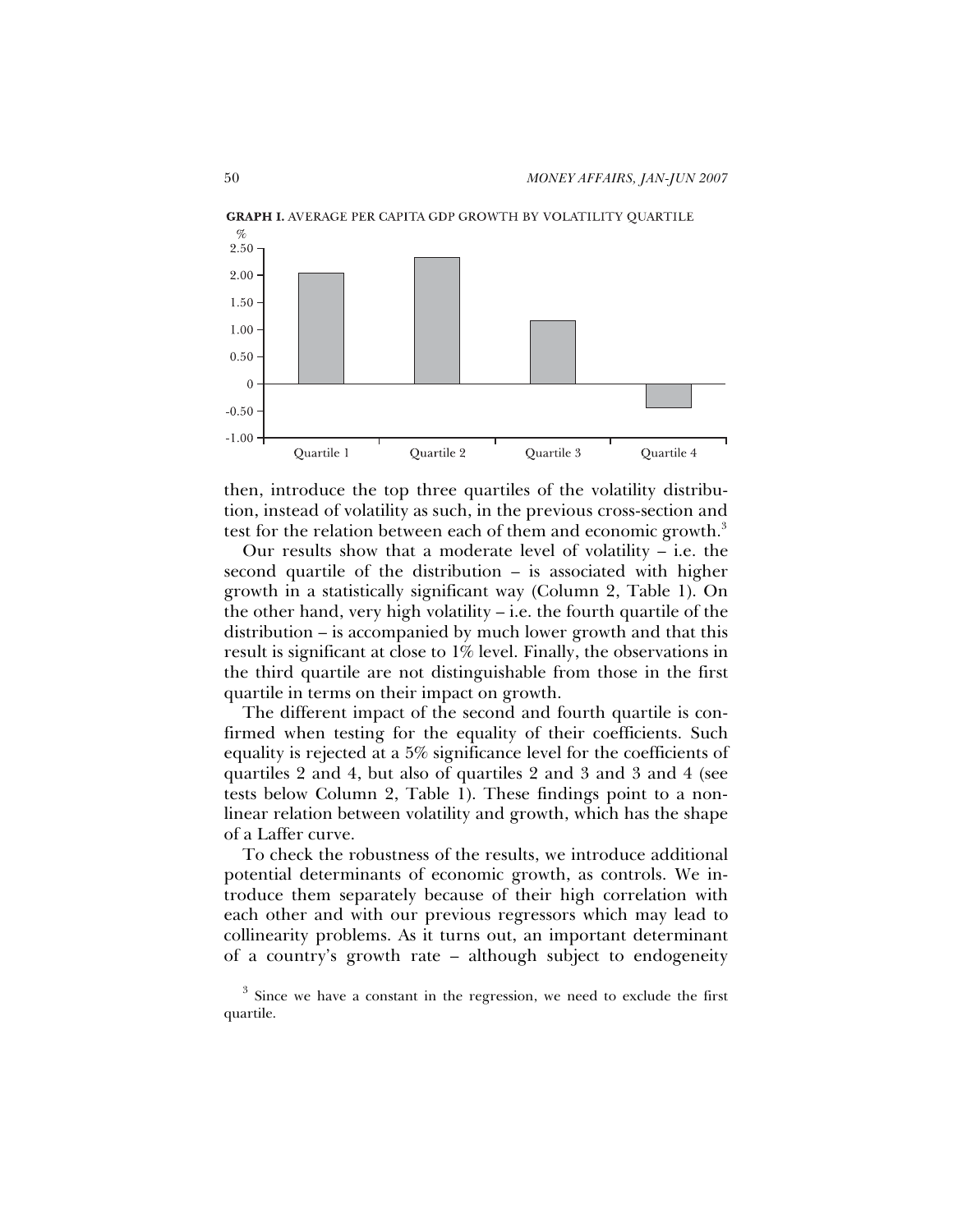

then, introduce the top three quartiles of the volatility distribution, instead of volatility as such, in the previous cross-section and test for the relation between each of them and economic growth.<sup>3</sup>

Our results show that a moderate level of volatility – i.e. the second quartile of the distribution – is associated with higher growth in a statistically significant way (Column 2, Table 1). On the other hand, very high volatility – i.e. the fourth quartile of the distribution – is accompanied by much lower growth and that this result is significant at close to 1% level. Finally, the observations in the third quartile are not distinguishable from those in the first quartile in terms on their impact on growth.

The different impact of the second and fourth quartile is confirmed when testing for the equality of their coefficients. Such equality is rejected at a 5% significance level for the coefficients of quartiles 2 and 4, but also of quartiles 2 and 3 and 3 and 4 (see tests below Column 2, Table 1). These findings point to a nonlinear relation between volatility and growth, which has the shape of a Laffer curve.

To check the robustness of the results, we introduce additional potential determinants of economic growth, as controls. We introduce them separately because of their high correlation with each other and with our previous regressors which may lead to collinearity problems. As it turns out, an important determinant of a country's growth rate – although subject to endogeneity

 $3$  Since we have a constant in the regression, we need to exclude the first quartile.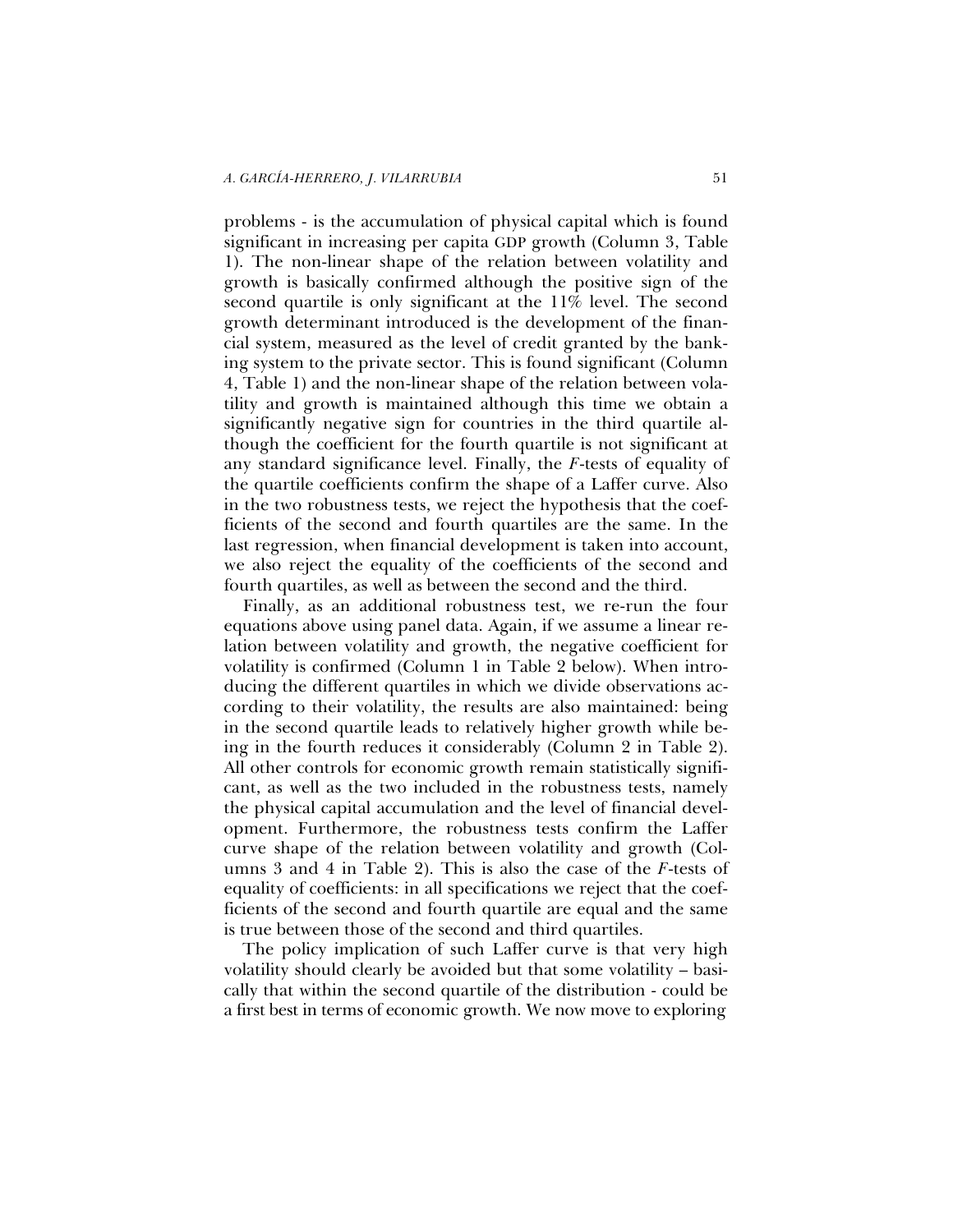problems - is the accumulation of physical capital which is found significant in increasing per capita GDP growth (Column 3, Table 1). The non-linear shape of the relation between volatility and growth is basically confirmed although the positive sign of the second quartile is only significant at the 11% level. The second growth determinant introduced is the development of the financial system, measured as the level of credit granted by the banking system to the private sector. This is found significant (Column 4, Table 1) and the non-linear shape of the relation between volatility and growth is maintained although this time we obtain a significantly negative sign for countries in the third quartile although the coefficient for the fourth quartile is not significant at any standard significance level. Finally, the *F*-tests of equality of the quartile coefficients confirm the shape of a Laffer curve. Also in the two robustness tests, we reject the hypothesis that the coefficients of the second and fourth quartiles are the same. In the last regression, when financial development is taken into account, we also reject the equality of the coefficients of the second and fourth quartiles, as well as between the second and the third.

Finally, as an additional robustness test, we re-run the four equations above using panel data. Again, if we assume a linear relation between volatility and growth, the negative coefficient for volatility is confirmed (Column 1 in Table 2 below). When introducing the different quartiles in which we divide observations according to their volatility, the results are also maintained: being in the second quartile leads to relatively higher growth while being in the fourth reduces it considerably (Column 2 in Table 2). All other controls for economic growth remain statistically significant, as well as the two included in the robustness tests, namely the physical capital accumulation and the level of financial development. Furthermore, the robustness tests confirm the Laffer curve shape of the relation between volatility and growth (Columns 3 and 4 in Table 2). This is also the case of the *F*-tests of equality of coefficients: in all specifications we reject that the coefficients of the second and fourth quartile are equal and the same is true between those of the second and third quartiles.

The policy implication of such Laffer curve is that very high volatility should clearly be avoided but that some volatility – basically that within the second quartile of the distribution - could be a first best in terms of economic growth. We now move to exploring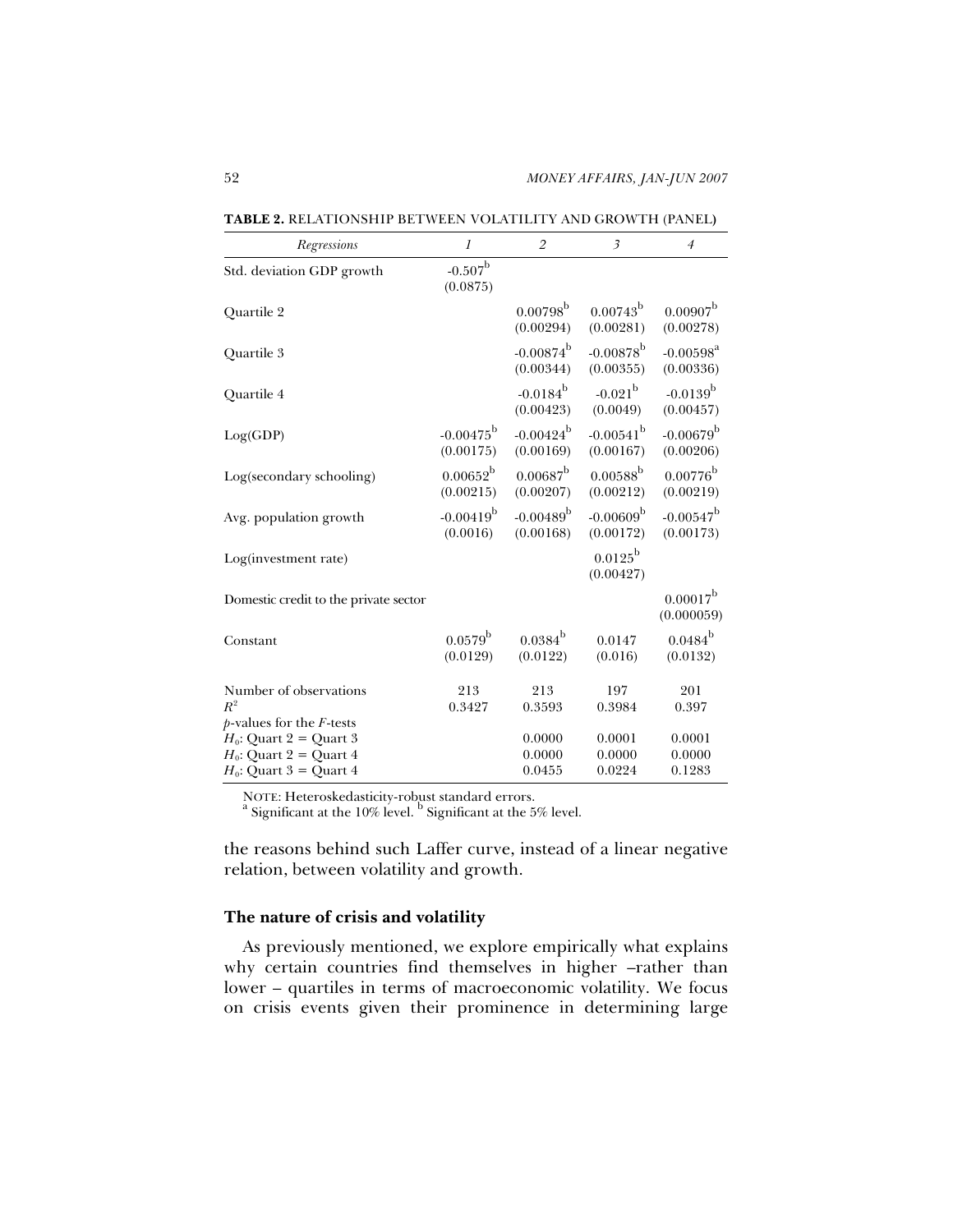| Regressions                                                                         | 1                               | $\overline{2}$                  | $\overline{\mathbf{3}}$         | $\overline{4}$                  |
|-------------------------------------------------------------------------------------|---------------------------------|---------------------------------|---------------------------------|---------------------------------|
| Std. deviation GDP growth                                                           | $-0.507^{\rm b}$<br>(0.0875)    |                                 |                                 |                                 |
| Quartile 2                                                                          |                                 | $0.00798^{\rm b}$<br>(0.00294)  | $0.00743^{\rm b}$<br>(0.00281)  | $0.00907^{\rm b}$<br>(0.00278)  |
| Quartile 3                                                                          |                                 | $-0.00874^{\rm b}$<br>(0.00344) | $-0.00878^{b}$<br>(0.00355)     | $-0.00598^{a}$<br>(0.00336)     |
| Quartile 4                                                                          |                                 | $-0.0184^{\rm b}$<br>(0.00423)  | $-0.021^{\rm b}$<br>(0.0049)    | $-0.0139^{\rm b}$<br>(0.00457)  |
| Log(GDP)                                                                            | $-0.00475^{\rm b}$<br>(0.00175) | $-0.00424^{b}$<br>(0.00169)     | $-0.00541^{b}$<br>(0.00167)     | $-0.00679^{\rm b}$<br>(0.00206) |
| Log(secondary schooling)                                                            | $0.00652^{\rm b}$<br>(0.00215)  | $0.00687^{\rm b}$<br>(0.00207)  | $0.00588^{\rm b}$<br>(0.00212)  | $0.00776^{\rm b}$<br>(0.00219)  |
| Avg. population growth                                                              | $-0.00419^{b}$<br>(0.0016)      | $-0.00489^{\rm b}$<br>(0.00168) | $-0.00609^{\rm b}$<br>(0.00172) | $-0.00547^{\rm b}$<br>(0.00173) |
| Log(investment rate)                                                                |                                 |                                 | $0.0125^{\rm b}$<br>(0.00427)   |                                 |
| Domestic credit to the private sector                                               |                                 |                                 |                                 | $0.00017^b$<br>(0.000059)       |
| Constant                                                                            | $0.0579^{\rm b}$<br>(0.0129)    | $0.0384^{\rm b}$<br>(0.0122)    | 0.0147<br>(0.016)               | $0.0484^{\rm b}$<br>(0.0132)    |
| Number of observations<br>$R^2$<br>$p$ -values for the $F$ -tests                   | 213<br>0.3427                   | 213<br>0.3593                   | 197<br>0.3984                   | 201<br>0.397                    |
| $H_0$ : Quart 2 = Quart 3<br>$H_0$ : Quart 2 = Quart 4<br>$H_0$ : Quart 3 = Quart 4 |                                 | 0.0000<br>0.0000<br>0.0455      | 0.0001<br>0.0000<br>0.0224      | 0.0001<br>0.0000<br>0.1283      |

**TABLE 2.** RELATIONSHIP BETWEEN VOLATILITY AND GROWTH (PANEL**)** 

NOTE: Heteroskedasticity-robust standard errors.

Significant at the 10% level. <sup>b</sup> Significant at the 5% level.

the reasons behind such Laffer curve, instead of a linear negative relation, between volatility and growth.

# **The nature of crisis and volatility**

As previously mentioned, we explore empirically what explains why certain countries find themselves in higher –rather than lower – quartiles in terms of macroeconomic volatility. We focus on crisis events given their prominence in determining large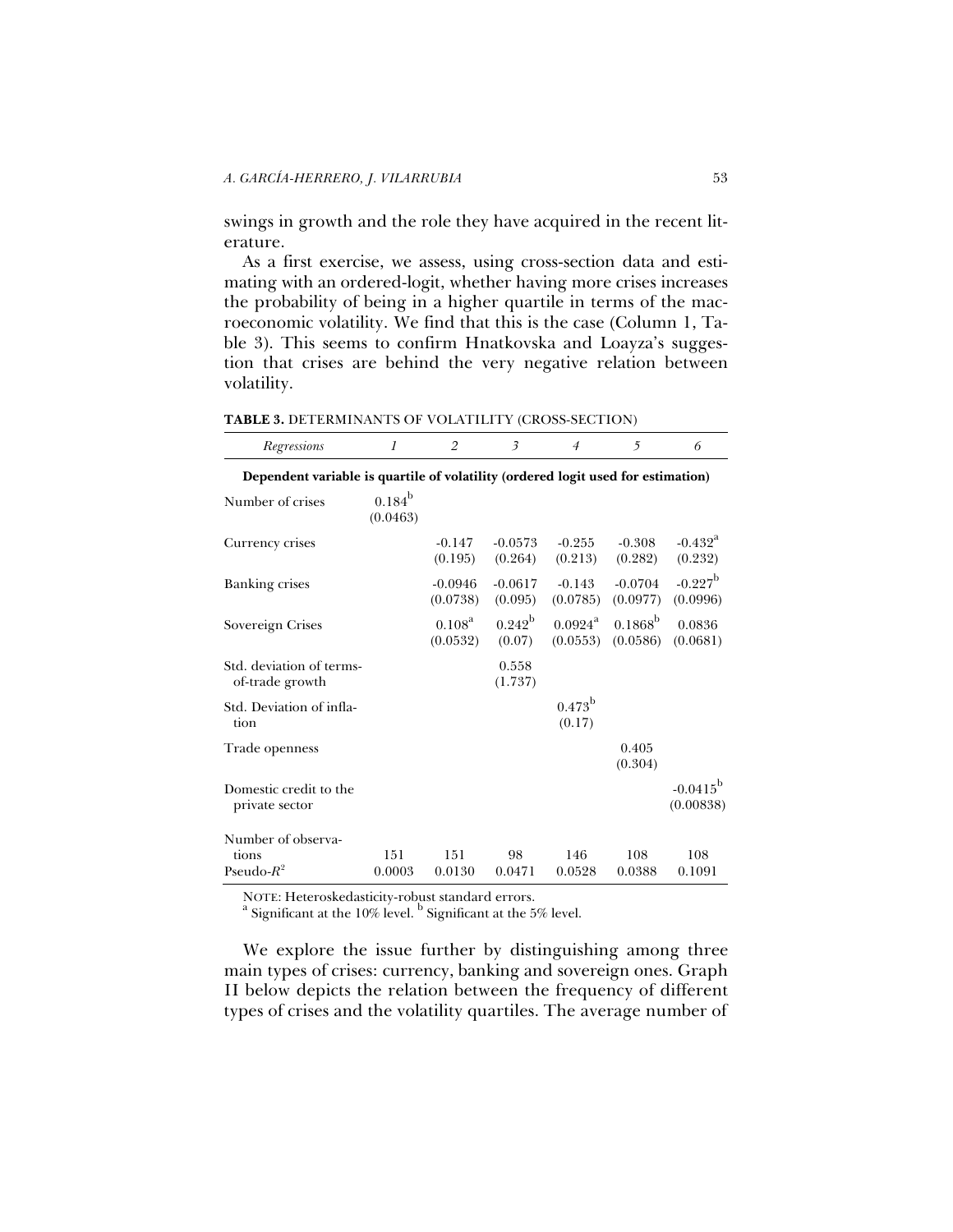swings in growth and the role they have acquired in the recent literature.

As a first exercise, we assess, using cross-section data and estimating with an ordered-logit, whether having more crises increases the probability of being in a higher quartile in terms of the macroeconomic volatility. We find that this is the case (Column 1, Table 3). This seems to confirm Hnatkovska and Loayza's suggestion that crises are behind the very negative relation between volatility.

| Regressions                                                                      | 1                           | $\overline{2}$              | $\overline{\mathbf{3}}$   | $\overline{4}$               | 5                            | 6                                |  |
|----------------------------------------------------------------------------------|-----------------------------|-----------------------------|---------------------------|------------------------------|------------------------------|----------------------------------|--|
| Dependent variable is quartile of volatility (ordered logit used for estimation) |                             |                             |                           |                              |                              |                                  |  |
| Number of crises                                                                 | $0.184^{\rm b}$<br>(0.0463) |                             |                           |                              |                              |                                  |  |
| Currency crises                                                                  |                             | $-0.147$<br>(0.195)         | $-0.0573$<br>(0.264)      | $-0.255$<br>(0.213)          | $-0.308$<br>(0.282)          | $-0.432$ <sup>a</sup><br>(0.232) |  |
| <b>Banking crises</b>                                                            |                             | $-0.0946$<br>(0.0738)       | $-0.0617$<br>(0.095)      | $-0.143$<br>(0.0785)         | $-0.0704$<br>(0.0977)        | $-0.227^{\rm b}$<br>(0.0996)     |  |
| Sovereign Crises                                                                 |                             | $0.108^{\rm a}$<br>(0.0532) | $0.242^{\rm b}$<br>(0.07) | $0.0924^{\rm a}$<br>(0.0553) | $0.1868^{\rm b}$<br>(0.0586) | 0.0836<br>(0.0681)               |  |
| Std. deviation of terms-<br>of-trade growth                                      |                             |                             | 0.558<br>(1.737)          |                              |                              |                                  |  |
| Std. Deviation of infla-<br>tion                                                 |                             |                             |                           | $0.473^{\rm b}$<br>(0.17)    |                              |                                  |  |
| Trade openness                                                                   |                             |                             |                           |                              | 0.405<br>(0.304)             |                                  |  |
| Domestic credit to the<br>private sector                                         |                             |                             |                           |                              |                              | $-0.0415^{\rm b}$<br>(0.00838)   |  |
| Number of observa-                                                               |                             |                             |                           |                              |                              |                                  |  |
| tions<br>Pseudo- $R^2$                                                           | 151<br>0.0003               | 151<br>0.0130               | 98<br>0.0471              | 146<br>0.0528                | 108<br>0.0388                | 108<br>0.1091                    |  |
|                                                                                  |                             |                             |                           |                              |                              |                                  |  |

**TABLE 3.** DETERMINANTS OF VOLATILITY (CROSS-SECTION)

NOTE: Heteroskedasticity-robust standard errors.<br><sup>a</sup> Significant at the 10% level. <sup>b</sup> Significant at the 5% level.

We explore the issue further by distinguishing among three main types of crises: currency, banking and sovereign ones. Graph II below depicts the relation between the frequency of different types of crises and the volatility quartiles. The average number of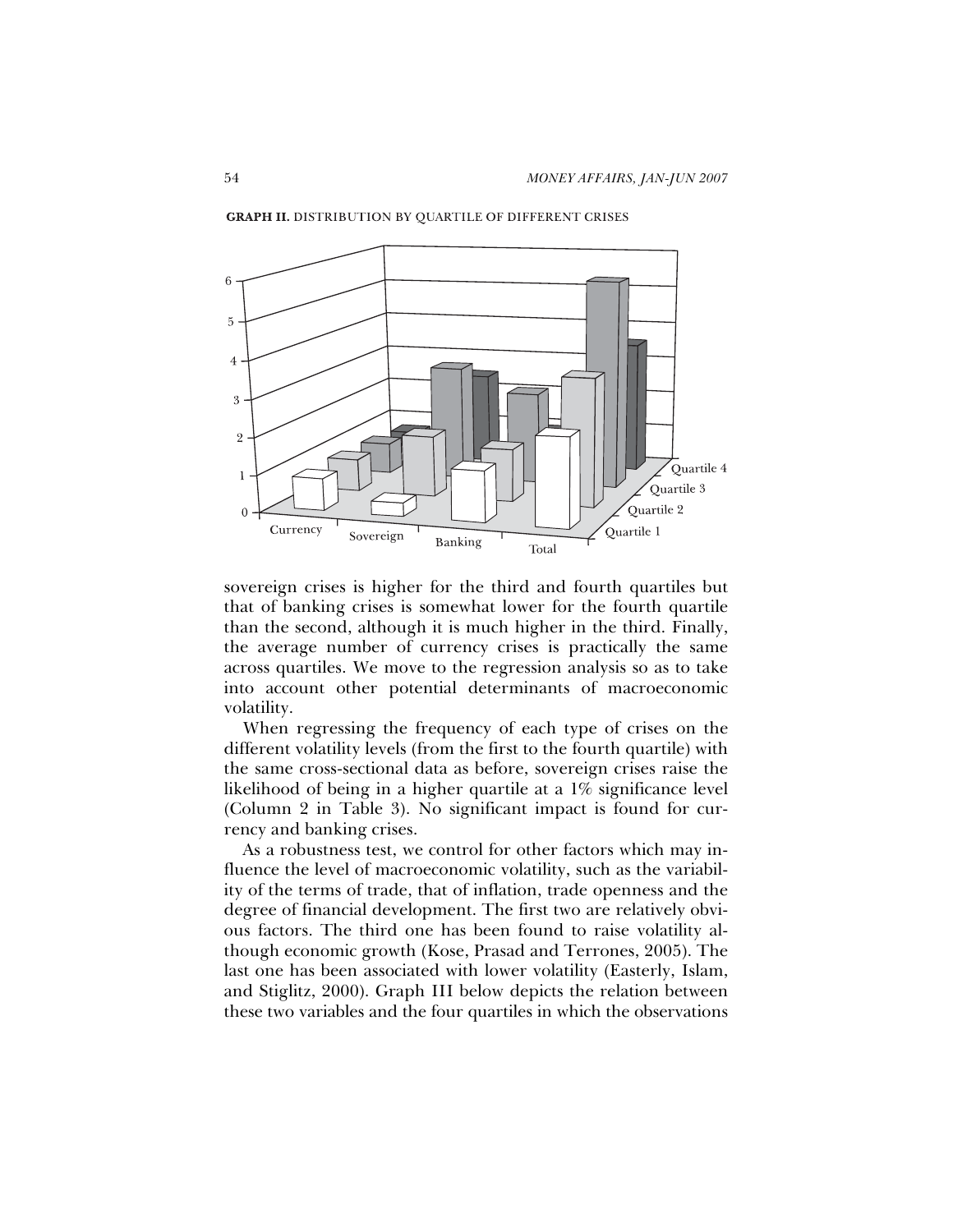

**GRAPH II. DISTRIBUTION BY QUARTILE OF DIFFERENT CRISES** 

sovereign crises is higher for the third and fourth quartiles but that of banking crises is somewhat lower for the fourth quartile than the second, although it is much higher in the third. Finally, the average number of currency crises is practically the same across quartiles. We move to the regression analysis so as to take into account other potential determinants of macroeconomic volatility.

When regressing the frequency of each type of crises on the different volatility levels (from the first to the fourth quartile) with the same cross-sectional data as before, sovereign crises raise the likelihood of being in a higher quartile at a 1% significance level (Column 2 in Table 3). No significant impact is found for currency and banking crises.

As a robustness test, we control for other factors which may influence the level of macroeconomic volatility, such as the variability of the terms of trade, that of inflation, trade openness and the degree of financial development. The first two are relatively obvious factors. The third one has been found to raise volatility although economic growth (Kose, Prasad and Terrones, 2005). The last one has been associated with lower volatility (Easterly, Islam, and Stiglitz, 2000). Graph III below depicts the relation between these two variables and the four quartiles in which the observations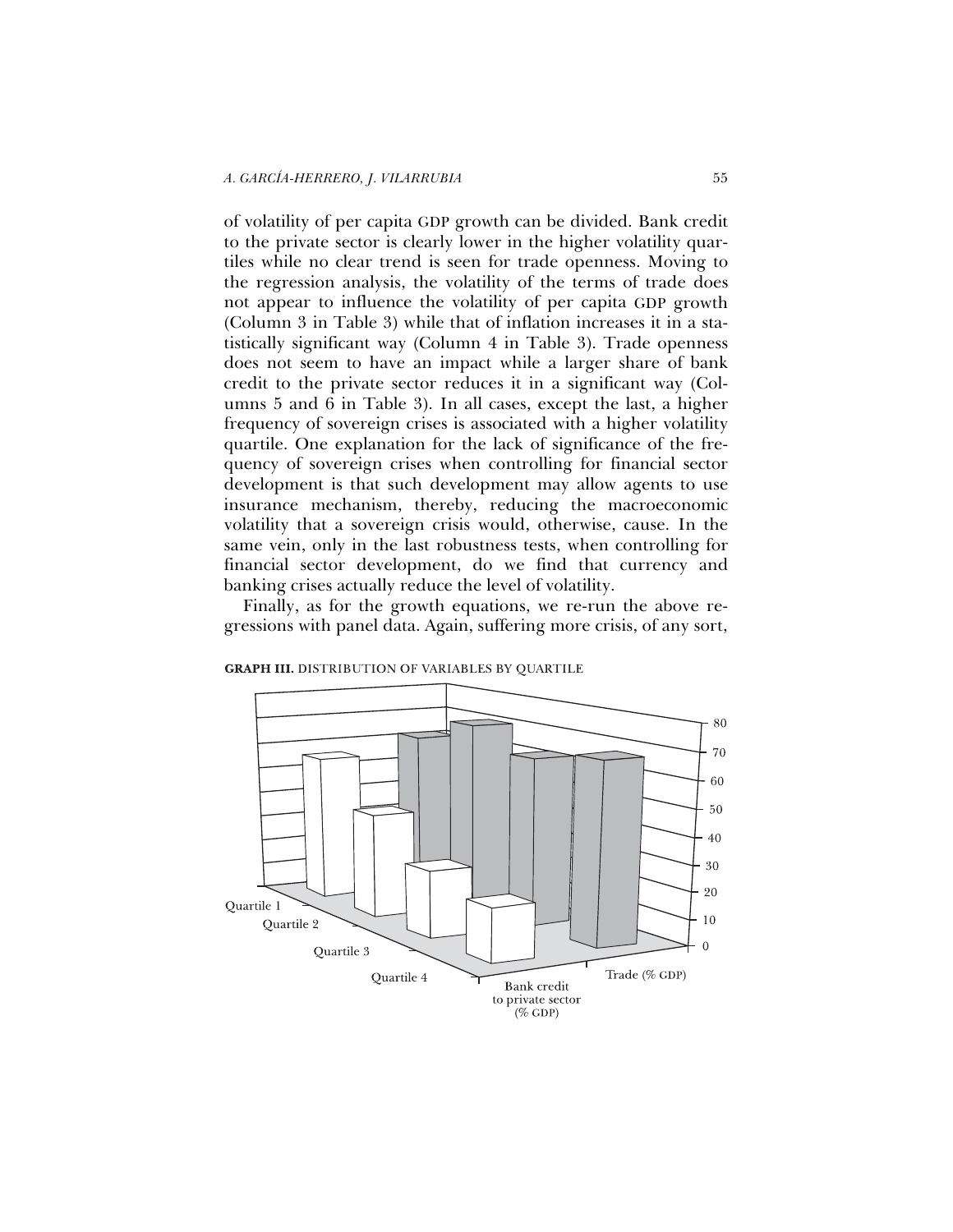of volatility of per capita GDP growth can be divided. Bank credit to the private sector is clearly lower in the higher volatility quartiles while no clear trend is seen for trade openness. Moving to the regression analysis, the volatility of the terms of trade does not appear to influence the volatility of per capita GDP growth (Column 3 in Table 3) while that of inflation increases it in a statistically significant way (Column 4 in Table 3). Trade openness does not seem to have an impact while a larger share of bank credit to the private sector reduces it in a significant way (Columns 5 and 6 in Table 3). In all cases, except the last, a higher frequency of sovereign crises is associated with a higher volatility quartile. One explanation for the lack of significance of the frequency of sovereign crises when controlling for financial sector development is that such development may allow agents to use insurance mechanism, thereby, reducing the macroeconomic volatility that a sovereign crisis would, otherwise, cause. In the same vein, only in the last robustness tests, when controlling for financial sector development, do we find that currency and banking crises actually reduce the level of volatility.

Finally, as for the growth equations, we re-run the above regressions with panel data. Again, suffering more crisis, of any sort,



**GRAPH III.** DISTRIBUTION OF VARIABLES BY QUARTILE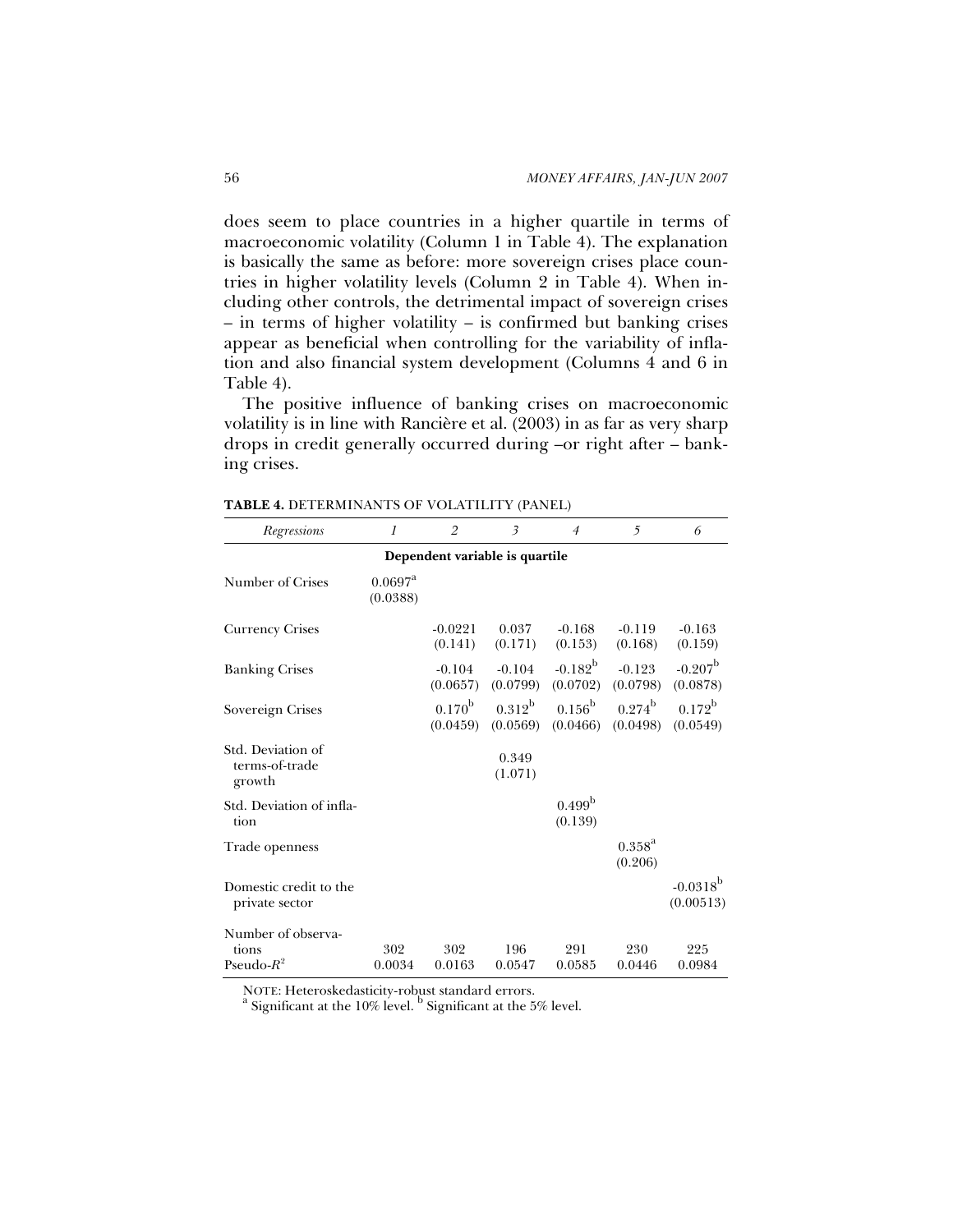does seem to place countries in a higher quartile in terms of macroeconomic volatility (Column 1 in Table 4). The explanation is basically the same as before: more sovereign crises place countries in higher volatility levels (Column 2 in Table 4). When including other controls, the detrimental impact of sovereign crises – in terms of higher volatility – is confirmed but banking crises appear as beneficial when controlling for the variability of inflation and also financial system development (Columns 4 and 6 in Table 4).

The positive influence of banking crises on macroeconomic volatility is in line with Rancière et al. (2003) in as far as very sharp drops in credit generally occurred during –or right after – banking crises.

| Regressions                                   | 1                                 | $\overline{2}$              | $\overline{\mathbf{3}}$ | $\overline{4}$                | $5\overline{)}$                          | 6                            |  |
|-----------------------------------------------|-----------------------------------|-----------------------------|-------------------------|-------------------------------|------------------------------------------|------------------------------|--|
| Dependent variable is quartile                |                                   |                             |                         |                               |                                          |                              |  |
| Number of Crises                              | $0.0697$ <sup>4</sup><br>(0.0388) |                             |                         |                               |                                          |                              |  |
| <b>Currency Crises</b>                        |                                   | $-0.0221$<br>(0.141)        | 0.037<br>(0.171)        | $-0.168$<br>(0.153)           | $-0.119$<br>(0.168)                      | $-0.163$<br>(0.159)          |  |
| <b>Banking Crises</b>                         |                                   | $-0.104$<br>(0.0657)        | $-0.104$<br>(0.0799)    | $-0.182^b$<br>(0.0702)        | $-0.123$<br>(0.0798)                     | $-0.207^{\rm b}$<br>(0.0878) |  |
| Sovereign Crises                              |                                   | $0.170^{\rm b}$<br>(0.0459) | $0.312^{b}$<br>(0.0569) | $0.156^{\mathrm{b}}$          | $0.274^{\rm b}$<br>$(0.0466)$ $(0.0498)$ | $0.172^{\rm b}$<br>(0.0549)  |  |
| Std. Deviation of<br>terms-of-trade<br>growth |                                   |                             | 0.349<br>(1.071)        |                               |                                          |                              |  |
| Std. Deviation of infla-<br>tion              |                                   |                             |                         | 0.499 <sup>b</sup><br>(0.139) |                                          |                              |  |
| Trade openness                                |                                   |                             |                         |                               | $0.358^{a}$<br>(0.206)                   |                              |  |
| Domestic credit to the<br>private sector      |                                   |                             |                         |                               |                                          | $-0.0318^{b}$<br>(0.00513)   |  |
| Number of observa-<br>tions                   | 302                               | 302                         | 196                     | 291                           | 230                                      | 225                          |  |
| Pseudo- $R^2$                                 | 0.0034                            | 0.0163                      | 0.0547                  | 0.0585                        | 0.0446                                   | 0.0984                       |  |

**TABLE 4.** DETERMINANTS OF VOLATILITY (PANEL)

NOTE: Heteroskedasticity-robust standard errors.

Significant at the 10% level. <sup>b</sup> Significant at the 5% level.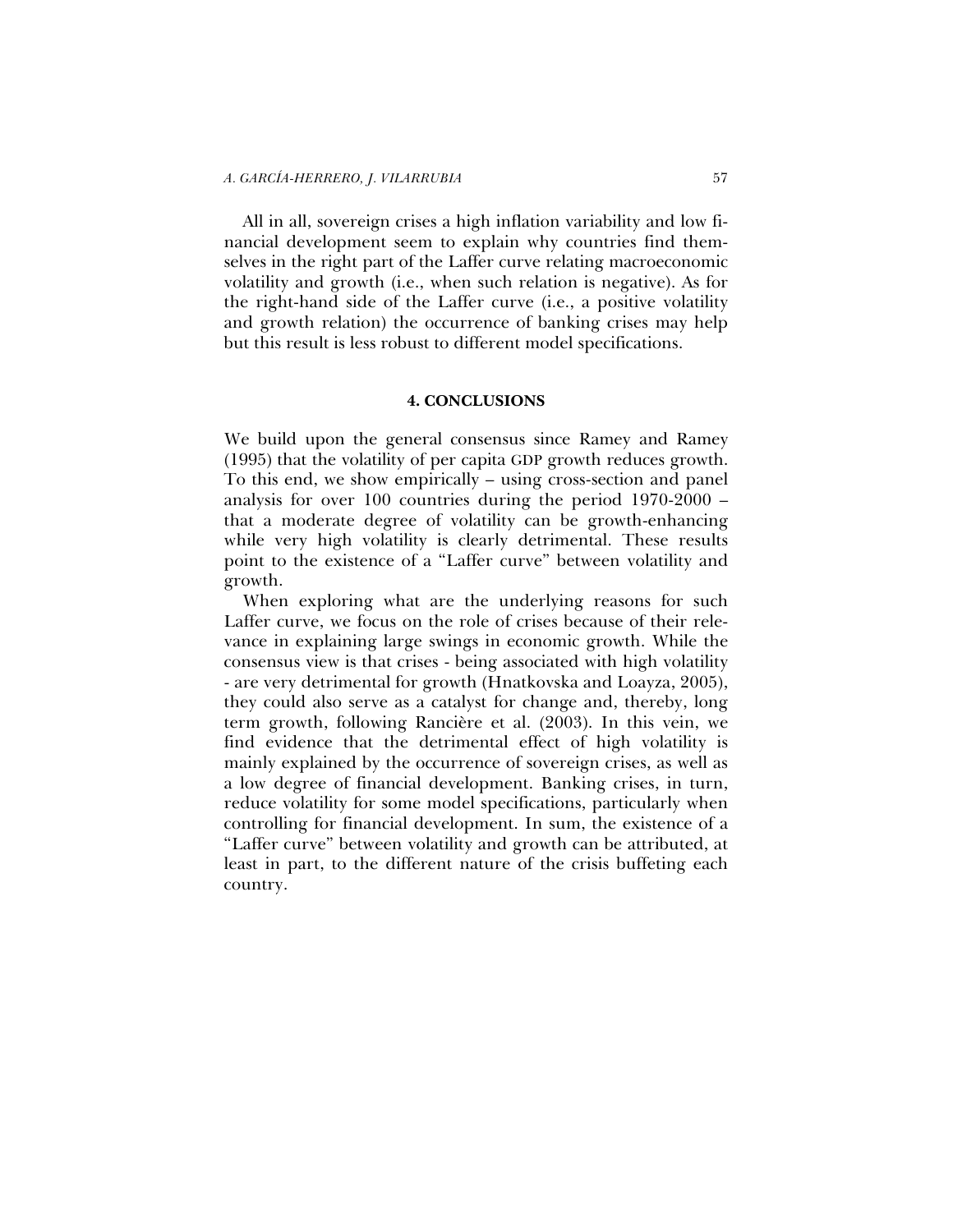All in all, sovereign crises a high inflation variability and low financial development seem to explain why countries find themselves in the right part of the Laffer curve relating macroeconomic volatility and growth (i.e., when such relation is negative). As for the right-hand side of the Laffer curve (i.e., a positive volatility and growth relation) the occurrence of banking crises may help but this result is less robust to different model specifications.

## **4. CONCLUSIONS**

We build upon the general consensus since Ramey and Ramey (1995) that the volatility of per capita GDP growth reduces growth. To this end, we show empirically – using cross-section and panel analysis for over 100 countries during the period 1970-2000 – that a moderate degree of volatility can be growth-enhancing while very high volatility is clearly detrimental. These results point to the existence of a "Laffer curve" between volatility and growth.

When exploring what are the underlying reasons for such Laffer curve, we focus on the role of crises because of their relevance in explaining large swings in economic growth. While the consensus view is that crises - being associated with high volatility - are very detrimental for growth (Hnatkovska and Loayza, 2005), they could also serve as a catalyst for change and, thereby, long term growth, following Rancière et al. (2003). In this vein, we find evidence that the detrimental effect of high volatility is mainly explained by the occurrence of sovereign crises, as well as a low degree of financial development. Banking crises, in turn, reduce volatility for some model specifications, particularly when controlling for financial development. In sum, the existence of a "Laffer curve" between volatility and growth can be attributed, at least in part, to the different nature of the crisis buffeting each country.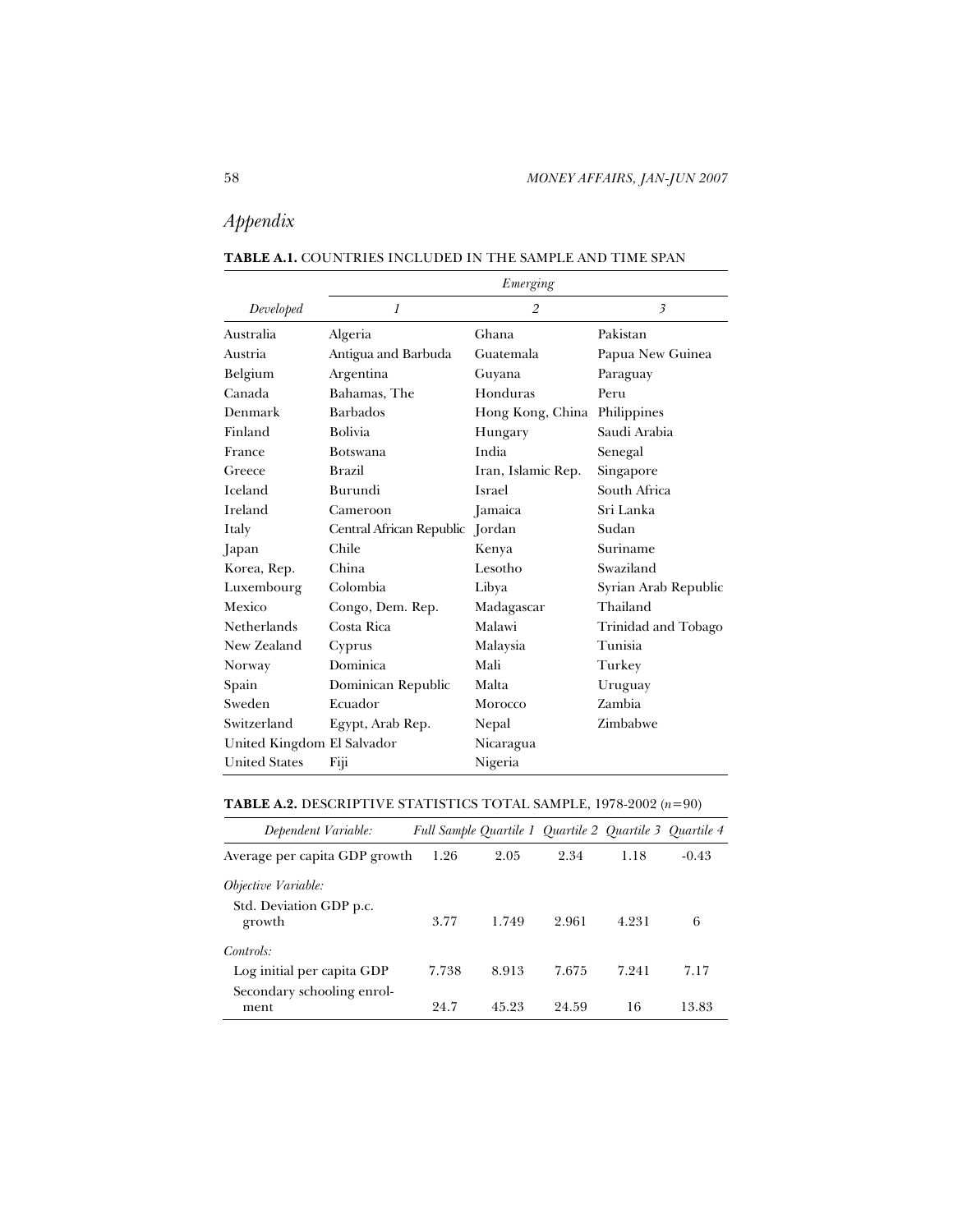# *Appendix*

| <b>TABLE A.1. COUNTRIES INCLUDED IN THE SAMPLE AND TIME SPAN</b> |
|------------------------------------------------------------------|
| Emerging                                                         |

| Developed                  | $\mathcal{I}$            | $\overline{2}$     | $\overline{\mathbf{3}}$ |
|----------------------------|--------------------------|--------------------|-------------------------|
| Australia                  | Algeria                  | Ghana              | Pakistan                |
| Austria                    | Antigua and Barbuda      | Guatemala          | Papua New Guinea        |
| Belgium                    | Argentina                | Guyana             | Paraguay                |
| Canada                     | Bahamas, The             | Honduras           | Peru                    |
| Denmark                    | <b>Barbados</b>          | Hong Kong, China   | Philippines             |
| Finland                    | <b>Bolivia</b>           | Hungary            | Saudi Arabia            |
| France                     | <b>Botswana</b>          | India              | Senegal                 |
| Greece                     | <b>Brazil</b>            | Iran, Islamic Rep. | Singapore               |
| Iceland                    | Burundi                  | Israel             | South Africa            |
| Ireland                    | Cameroon                 | Jamaica            | Sri Lanka               |
| Italy                      | Central African Republic | Jordan             | Sudan                   |
| Japan                      | Chile                    | Kenya              | Suriname                |
| Korea, Rep.                | China                    | Lesotho            | Swaziland               |
| Luxembourg                 | Colombia                 | Libya              | Syrian Arab Republic    |
| Mexico                     | Congo, Dem. Rep.         | Madagascar         | Thailand                |
| Netherlands                | Costa Rica               | Malawi             | Trinidad and Tobago     |
| New Zealand                | Cyprus                   | Malaysia           | Tunisia                 |
| Norway                     | Dominica                 | Mali               | Turkey                  |
| Spain                      | Dominican Republic       | Malta              | Uruguay                 |
| Sweden                     | Ecuador                  | Morocco            | Zambia                  |
| Switzerland                | Egypt, Arab Rep.         | Nepal              | Zimbabwe                |
| United Kingdom El Salvador |                          | Nicaragua          |                         |
| <b>United States</b>       | Fiji                     | Nigeria            |                         |

# **TABLE A.2.** DESCRIPTIVE STATISTICS TOTAL SAMPLE, 1978-2002 (*n*=90)

| Dependent Variable:                                                   |       |       | Full Sample Quartile 1 Quartile 2 Quartile 3 Quartile 4 |       |         |
|-----------------------------------------------------------------------|-------|-------|---------------------------------------------------------|-------|---------|
| Average per capita GDP growth                                         | 1.26  | 2.05  | 2.34                                                    | 1.18  | $-0.43$ |
| Objective Variable:<br>Std. Deviation GDP p.c.<br>growth              | 3.77  | 1.749 | 2.961                                                   | 4.231 | 6       |
| Controls:<br>Log initial per capita GDP<br>Secondary schooling enrol- | 7.738 | 8.913 | 7.675                                                   | 7.241 | 7.17    |
| ment                                                                  | 24.7  | 45.93 | 94.59                                                   | 16    | 13.83   |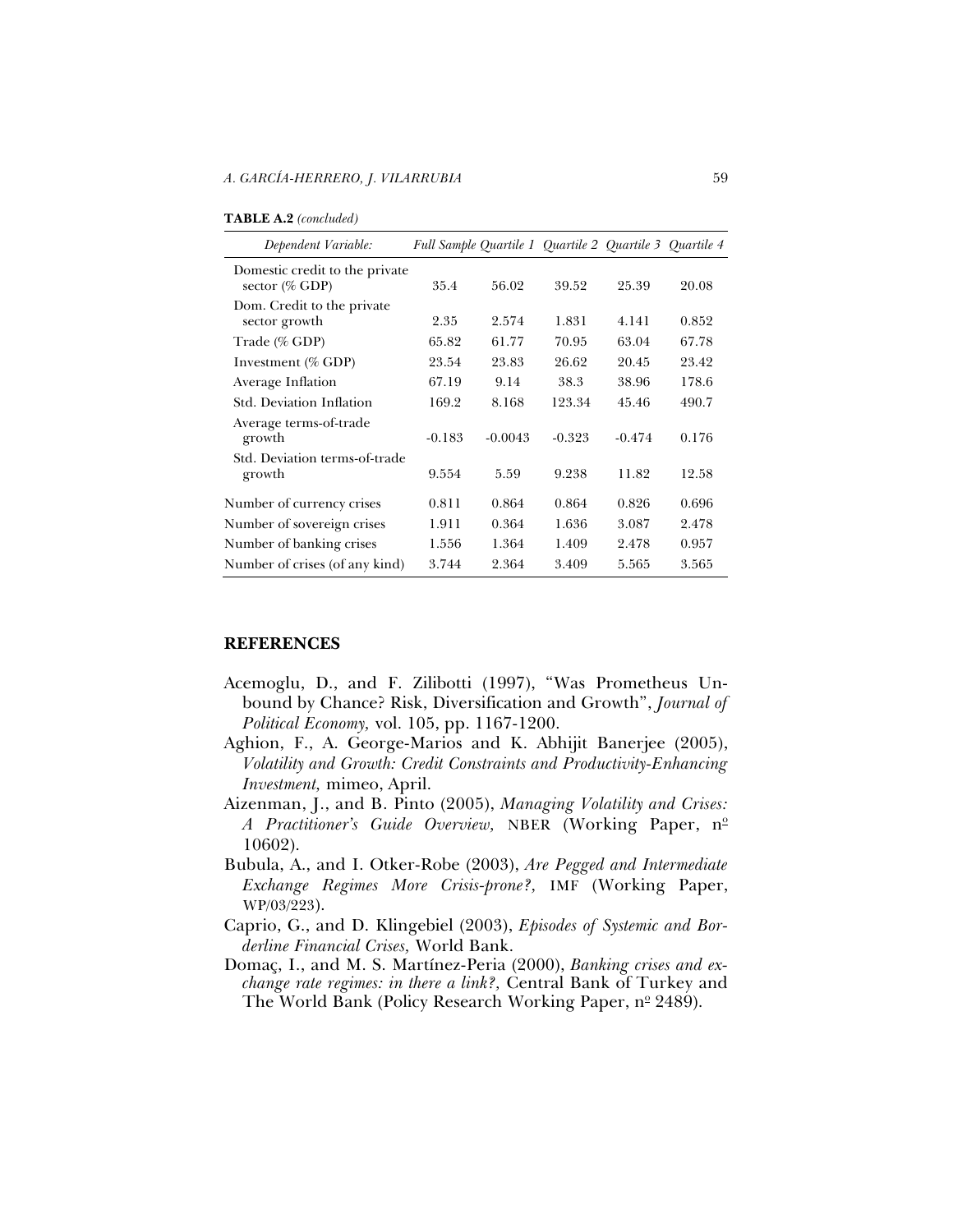| <b>TABLE A.2</b> (concluded) |  |
|------------------------------|--|
|------------------------------|--|

| Dependent Variable:                              | Full Sample Quartile 1 Quartile 2 Quartile 3 Quartile 4 |           |          |          |       |
|--------------------------------------------------|---------------------------------------------------------|-----------|----------|----------|-------|
| Domestic credit to the private<br>sector (% GDP) | 35.4                                                    | 56.02     | 39.52    | 25.39    | 20.08 |
| Dom. Credit to the private<br>sector growth      | 2.35                                                    | 2.574     | 1.831    | 4.141    | 0.852 |
| Trade (% GDP)                                    | 65.82                                                   | 61.77     | 70.95    | 63.04    | 67.78 |
| Investment (% GDP)                               | 23.54                                                   | 23.83     | 26.62    | 20.45    | 23.42 |
| Average Inflation                                | 67.19                                                   | 9.14      | 38.3     | 38.96    | 178.6 |
| Std. Deviation Inflation                         | 169.2                                                   | 8.168     | 123.34   | 45.46    | 490.7 |
| Average terms-of-trade<br>growth                 | $-0.183$                                                | $-0.0043$ | $-0.323$ | $-0.474$ | 0.176 |
| Std. Deviation terms-of-trade<br>growth          | 9.554                                                   | 5.59      | 9.238    | 11.82    | 12.58 |
| Number of currency crises                        | 0.811                                                   | 0.864     | 0.864    | 0.826    | 0.696 |
| Number of sovereign crises                       | 1.911                                                   | 0.364     | 1.636    | 3.087    | 2.478 |
| Number of banking crises                         | 1.556                                                   | 1.364     | 1.409    | 2.478    | 0.957 |
| Number of crises (of any kind)                   | 3.744                                                   | 2.364     | 3.409    | 5.565    | 3.565 |

### **REFERENCES**

- Acemoglu, D., and F. Zilibotti (1997), "Was Prometheus Unbound by Chance? Risk, Diversification and Growth", *Journal of Political Economy,* vol. 105, pp. 1167-1200.
- Aghion, F., A. George-Marios and K. Abhijit Banerjee (2005), *Volatility and Growth: Credit Constraints and Productivity-Enhancing Investment,* mimeo, April.
- Aizenman, J., and B. Pinto (2005), *Managing Volatility and Crises: A Practitioner's Guide Overview, NBER (Working Paper, n<sup>o</sup>* 10602).
- Bubula, A., and I. Otker-Robe (2003), *Are Pegged and Intermediate Exchange Regimes More Crisis-prone?,* IMF (Working Paper, WP/03/223).
- Caprio, G., and D. Klingebiel (2003), *Episodes of Systemic and Borderline Financial Crises,* World Bank.
- Domaç, I., and M. S. Martínez-Peria (2000), *Banking crises and exchange rate regimes: in there a link?,* Central Bank of Turkey and The World Bank (Policy Research Working Paper, nº 2489).